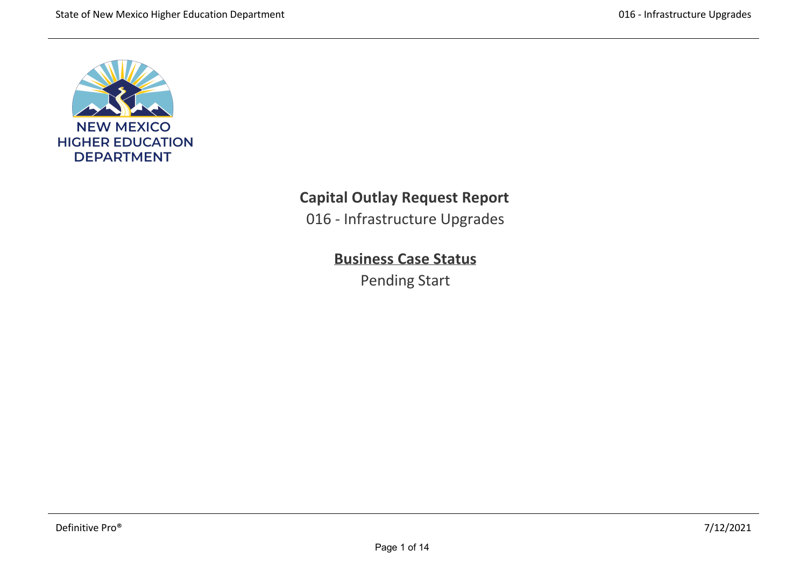

# **Capital Outlay Request Report**

016 ‐ Infrastructure Upgrades

# **Business Case Status**

Pending Start

recovery backups. ICT also provide server administration, database support and backup/recovery services to departments, colleges and branch campuses across NMSU, on a contract basis.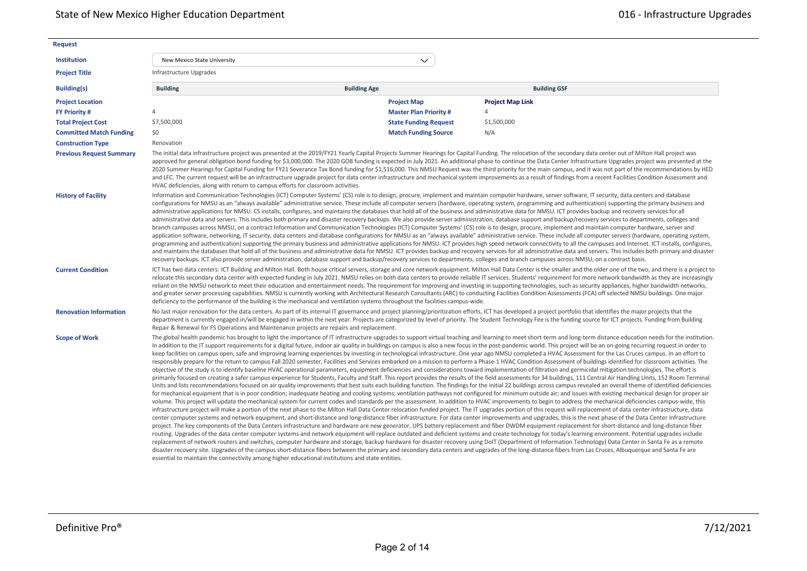| <b>Request</b>                  |                                                                                          |                                                                                                                                                                                        |                                                                                                                                                                                                                                                                                                                                                                                                                                                                                                                                                                                                                                                                                                                                                                                                                                                                                                                                                                                                                                                                                                                                                                                                                                                                                                                                                                                                                                                                                                                                                                                                                                                                                                                                                                                                                                                                                                                                                                                                                                                                                                                                                                                                                                                                                                                                                                                                                                                                                                                                                                                                                                                                                                                                                                                                                                                                                                                                                                                                                                                                                                                                                                                                                                                                                                     |
|---------------------------------|------------------------------------------------------------------------------------------|----------------------------------------------------------------------------------------------------------------------------------------------------------------------------------------|-----------------------------------------------------------------------------------------------------------------------------------------------------------------------------------------------------------------------------------------------------------------------------------------------------------------------------------------------------------------------------------------------------------------------------------------------------------------------------------------------------------------------------------------------------------------------------------------------------------------------------------------------------------------------------------------------------------------------------------------------------------------------------------------------------------------------------------------------------------------------------------------------------------------------------------------------------------------------------------------------------------------------------------------------------------------------------------------------------------------------------------------------------------------------------------------------------------------------------------------------------------------------------------------------------------------------------------------------------------------------------------------------------------------------------------------------------------------------------------------------------------------------------------------------------------------------------------------------------------------------------------------------------------------------------------------------------------------------------------------------------------------------------------------------------------------------------------------------------------------------------------------------------------------------------------------------------------------------------------------------------------------------------------------------------------------------------------------------------------------------------------------------------------------------------------------------------------------------------------------------------------------------------------------------------------------------------------------------------------------------------------------------------------------------------------------------------------------------------------------------------------------------------------------------------------------------------------------------------------------------------------------------------------------------------------------------------------------------------------------------------------------------------------------------------------------------------------------------------------------------------------------------------------------------------------------------------------------------------------------------------------------------------------------------------------------------------------------------------------------------------------------------------------------------------------------------------------------------------------------------------------------------------------------------------|
| <b>Institution</b>              | New Mexico State University                                                              | $\checkmark$                                                                                                                                                                           |                                                                                                                                                                                                                                                                                                                                                                                                                                                                                                                                                                                                                                                                                                                                                                                                                                                                                                                                                                                                                                                                                                                                                                                                                                                                                                                                                                                                                                                                                                                                                                                                                                                                                                                                                                                                                                                                                                                                                                                                                                                                                                                                                                                                                                                                                                                                                                                                                                                                                                                                                                                                                                                                                                                                                                                                                                                                                                                                                                                                                                                                                                                                                                                                                                                                                                     |
| <b>Project Title</b>            | Infrastructure Upgrades                                                                  |                                                                                                                                                                                        |                                                                                                                                                                                                                                                                                                                                                                                                                                                                                                                                                                                                                                                                                                                                                                                                                                                                                                                                                                                                                                                                                                                                                                                                                                                                                                                                                                                                                                                                                                                                                                                                                                                                                                                                                                                                                                                                                                                                                                                                                                                                                                                                                                                                                                                                                                                                                                                                                                                                                                                                                                                                                                                                                                                                                                                                                                                                                                                                                                                                                                                                                                                                                                                                                                                                                                     |
| <b>Building(s)</b>              | <b>Building</b>                                                                          | <b>Building Age</b>                                                                                                                                                                    | <b>Building GSF</b>                                                                                                                                                                                                                                                                                                                                                                                                                                                                                                                                                                                                                                                                                                                                                                                                                                                                                                                                                                                                                                                                                                                                                                                                                                                                                                                                                                                                                                                                                                                                                                                                                                                                                                                                                                                                                                                                                                                                                                                                                                                                                                                                                                                                                                                                                                                                                                                                                                                                                                                                                                                                                                                                                                                                                                                                                                                                                                                                                                                                                                                                                                                                                                                                                                                                                 |
| <b>Project Location</b>         |                                                                                          | <b>Project Map</b>                                                                                                                                                                     | <b>Project Map Link</b>                                                                                                                                                                                                                                                                                                                                                                                                                                                                                                                                                                                                                                                                                                                                                                                                                                                                                                                                                                                                                                                                                                                                                                                                                                                                                                                                                                                                                                                                                                                                                                                                                                                                                                                                                                                                                                                                                                                                                                                                                                                                                                                                                                                                                                                                                                                                                                                                                                                                                                                                                                                                                                                                                                                                                                                                                                                                                                                                                                                                                                                                                                                                                                                                                                                                             |
| <b>FY Priority#</b>             | $\overline{4}$                                                                           | <b>Master Plan Priority #</b>                                                                                                                                                          | 4                                                                                                                                                                                                                                                                                                                                                                                                                                                                                                                                                                                                                                                                                                                                                                                                                                                                                                                                                                                                                                                                                                                                                                                                                                                                                                                                                                                                                                                                                                                                                                                                                                                                                                                                                                                                                                                                                                                                                                                                                                                                                                                                                                                                                                                                                                                                                                                                                                                                                                                                                                                                                                                                                                                                                                                                                                                                                                                                                                                                                                                                                                                                                                                                                                                                                                   |
| <b>Total Project Cost</b>       | \$7,500,000                                                                              | <b>State Funding Request</b>                                                                                                                                                           | \$1,500,000                                                                                                                                                                                                                                                                                                                                                                                                                                                                                                                                                                                                                                                                                                                                                                                                                                                                                                                                                                                                                                                                                                                                                                                                                                                                                                                                                                                                                                                                                                                                                                                                                                                                                                                                                                                                                                                                                                                                                                                                                                                                                                                                                                                                                                                                                                                                                                                                                                                                                                                                                                                                                                                                                                                                                                                                                                                                                                                                                                                                                                                                                                                                                                                                                                                                                         |
| <b>Committed Match Funding</b>  | \$0                                                                                      | <b>Match Funding Source</b>                                                                                                                                                            | N/A                                                                                                                                                                                                                                                                                                                                                                                                                                                                                                                                                                                                                                                                                                                                                                                                                                                                                                                                                                                                                                                                                                                                                                                                                                                                                                                                                                                                                                                                                                                                                                                                                                                                                                                                                                                                                                                                                                                                                                                                                                                                                                                                                                                                                                                                                                                                                                                                                                                                                                                                                                                                                                                                                                                                                                                                                                                                                                                                                                                                                                                                                                                                                                                                                                                                                                 |
| <b>Construction Type</b>        | Renovation                                                                               |                                                                                                                                                                                        |                                                                                                                                                                                                                                                                                                                                                                                                                                                                                                                                                                                                                                                                                                                                                                                                                                                                                                                                                                                                                                                                                                                                                                                                                                                                                                                                                                                                                                                                                                                                                                                                                                                                                                                                                                                                                                                                                                                                                                                                                                                                                                                                                                                                                                                                                                                                                                                                                                                                                                                                                                                                                                                                                                                                                                                                                                                                                                                                                                                                                                                                                                                                                                                                                                                                                                     |
| <b>Previous Request Summary</b> | HVAC deficiencies, along with return to campus efforts for classroom activities.         |                                                                                                                                                                                        | The initial data infrastructure project was presented at the 2019/FY21 Yearly Capital Projects Summer Hearings for Capital Funding. The relocation of the secondary data center out of Milton Hall project was<br>approved for general obligation bond funding for \$3,000,000. The 2020 GOB funding is expected in July 2021. An additional phase to continue the Data Center Infrastructure Upgrades project was presented at the<br>2020 Summer Hearings for Capital Funding for FY21 Severance Tax Bond funding for \$1,516,000. This NMSU Request was the third priority for the main campus, and it was not part of the recommendations by HED<br>and LFC. The current request will be an infrastructure upgrade project for data center infrastructure and mechanical system improvements as a result of findings from a recent Facilities Condition Assessment and                                                                                                                                                                                                                                                                                                                                                                                                                                                                                                                                                                                                                                                                                                                                                                                                                                                                                                                                                                                                                                                                                                                                                                                                                                                                                                                                                                                                                                                                                                                                                                                                                                                                                                                                                                                                                                                                                                                                                                                                                                                                                                                                                                                                                                                                                                                                                                                                                          |
| <b>History of Facility</b>      |                                                                                          | recovery backups. ICT also provide server administration, database support and backup/recovery services to departments, colleges and branch campuses across NMSU, on a contract basis. | Information and Communication Technologies (ICT) Computer Systems' (CS) role is to design, procure, implement and maintain computer hardware, server software, IT security, data centers and database<br>configurations for NMSU as an "always available" administrative service. These include all computer servers (hardware, operating system, programming and authentication) supporting the primary business and<br>administrative applications for NMSU. CS installs, configures, and maintains the databases that hold all of the business and administrative data for NMSU. ICT provides backup and recovery services for all<br>administrative data and servers. This includes both primary and disaster recovery backups. We also provide server administration, database support and backup/recovery services to departments, colleges and<br>branch campuses across NMSU, on a contract Information and Communication Technologies (ICT) Computer Systems' (CS) role is to design, procure, implement and maintain computer hardware, server and<br>application software, networking, IT security, data centers and database configurations for NMSU as an "always available" administrative service. These include all computer servers (hardware, operating system,<br>programming and authentication) supporting the primary business and administrative applications for NMSU. ICT provides high speed network connectivity to all the campuses and Internet. ICT installs, configures,<br>and maintains the databases that hold all of the business and administrative data for NMSU. ICT provides backup and recovery services for all administrative data and servers. This includes both primary and disaster                                                                                                                                                                                                                                                                                                                                                                                                                                                                                                                                                                                                                                                                                                                                                                                                                                                                                                                                                                                                                                                                                                                                                                                                                                                                                                                                                                                                                                                                                                                                                                   |
| <b>Current Condition</b>        |                                                                                          | deficiency to the performance of the building is the mechanical and ventilation systems throughout the facilities campus-wide.                                                         | ICT has two data centers: ICT Building and Milton Hall. Both house critical servers, storage and core network equipment. Milton Hall Data Center is the smaller and the older one of the two, and there is a project to<br>relocate this secondary data center with expected funding in July 2021. NMSU relies on both data centers to provide reliable IT services. Students' requirement for more network bandwidth as they are increasingly<br>reliant on the NMSU network to meet their education and entertainment needs. The requirement for improving and investing in supporting technologies, such as security appliances, higher bandwidth networks,<br>and greater server processing capabilities. NMSU is currently working with Architectural Research Consultants (ARC) to conducting Facilities Condition Assessments (FCA) off selected NMSU buildings. One major                                                                                                                                                                                                                                                                                                                                                                                                                                                                                                                                                                                                                                                                                                                                                                                                                                                                                                                                                                                                                                                                                                                                                                                                                                                                                                                                                                                                                                                                                                                                                                                                                                                                                                                                                                                                                                                                                                                                                                                                                                                                                                                                                                                                                                                                                                                                                                                                                   |
| <b>Renovation Information</b>   | Repair & Renewal for FS Operations and Maintenance projects are repairs and replacement. |                                                                                                                                                                                        | No last major renovation for the data centers. As part of its internal IT governance and project planning/prioritization efforts, ICT has developed a project portfolio that identifies the major projects that the<br>department is currently engaged in/will be engaged in within the next year. Projects are categorized by level of priority. The Student Technology Fee is the funding source for ICT projects. Funding from Building                                                                                                                                                                                                                                                                                                                                                                                                                                                                                                                                                                                                                                                                                                                                                                                                                                                                                                                                                                                                                                                                                                                                                                                                                                                                                                                                                                                                                                                                                                                                                                                                                                                                                                                                                                                                                                                                                                                                                                                                                                                                                                                                                                                                                                                                                                                                                                                                                                                                                                                                                                                                                                                                                                                                                                                                                                                          |
| <b>Scope of Work</b>            |                                                                                          | essential to maintain the connectivity among higher educational institutions and state entities.                                                                                       | The global health pandemic has brought to light the importance of IT infrastructure upgrades to support virtual teaching and learning to meet short-term and long-term distance education needs for the institution.<br>In addition to the IT support requirements for a digital future, indoor air quality in buildings on campus is also a new focus in the post-pandemic world. This project will be an on-going recurring request in order to<br>keep facilities on campus open, safe and improving learning experiences by investing in technological infrastructure. One year ago NMSU completed a HVAC Assessment for the Las Cruces campus. In an effort to<br>responsibly prepare for the return to campus Fall 2020 semester, Facilities and Services embarked on a mission to perform a Phase-1 HVAC Condition Assessment of buildings identified for classroom activities. The<br>objective of the study is to identify baseline HVAC operational parameters, equipment deficiencies and considerations toward implementation of filtration and germicidal mitigation technologies. The effort is<br>primarily focused on creating a safer campus experience for Students, Faculty and Staff. This report provides the results of the field assessments for 34 buildings, 111 Central Air Handling Units, 152 Room Terminal<br>Units and lists recommendations focused on air quality improvements that best suits each building function. The findings for the initial 22 buildings across campus revealed an overall theme of identified deficiencies<br>for mechanical equipment that is in poor condition; inadequate heating and cooling systems; ventilation pathways not configured for minimum outside air; and issues with existing mechanical design for proper air<br>volume. This project will update the mechanical system for current codes and standards per the assessment. In addition to HVAC improvements to begin to address the mechanical deficiencies campus-wide, this<br>infrastructure project will make a portion of the next phase to the Milton Hall Data Center relocation funded project. The IT upgrades portion of this request will replacement of data center infrastructure, data<br>center computer systems and network equipment, and short-distance and long-distance fiber infrastructure. For data center improvements and upgrades, this is the next phase of the Data Center Infrastructure<br>project. The key components of the Data Centers infrastructure and hardware are new generator, UPS battery replacement and fiber DWDM equipment replacement for short-distance and long-distance fiber<br>routing. Upgrades of the data center computer systems and network equipment will replace outdated and deficient systems and create technology for today's learning environment. Potential upgrades include<br>replacement of network routers and switches, computer hardware and storage, backup hardware for disaster recovery using DoIT (Department of Information Technology) Data Center in Santa Fe as a remote<br>disaster recovery site. Upgrades of the campus short-distance fibers between the primary and secondary data centers and upgrades of the long-distance fibers from Las Cruces, Albuquerque and Santa Fe are |

 $2.5\pm0.00$  The Upgrades  $2.5\pm0.00$   $2.5\pm0.00$   $2.5\pm0.00$   $2.5\pm0.00$   $2.5\pm0.00$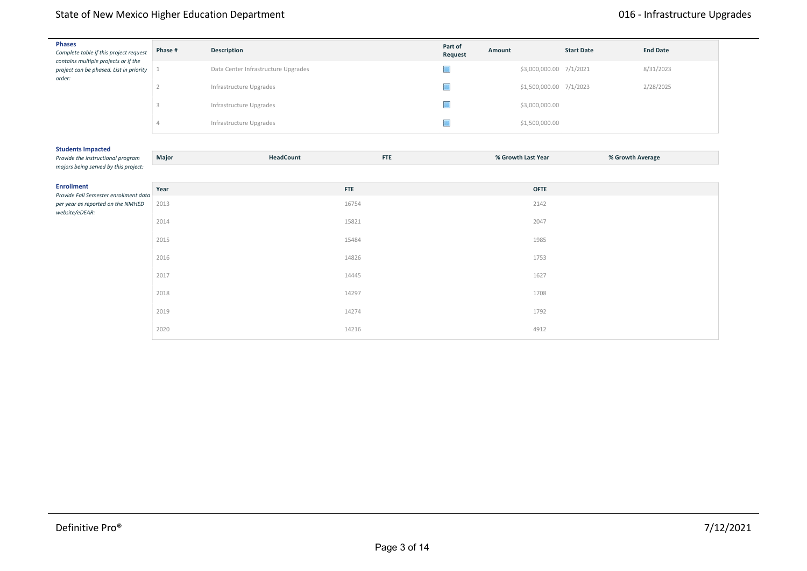#### routing. Upgrades of the data center computer systems and network equipment will replace outdated and deficient systems and create technology for today's learning environment. Potential upgrades include State of New Mexico Higher Education Department **State Act 2016** - Infrastructure Upgrades

| <b>Phases</b><br>Complete table if this project request<br>contains multiple projects or if the | Phase #        | Description                         |            | Part of<br>Request | Amount             |                         | <b>Start Date</b> | <b>End Date</b>  |  |
|-------------------------------------------------------------------------------------------------|----------------|-------------------------------------|------------|--------------------|--------------------|-------------------------|-------------------|------------------|--|
| project can be phased. List in priority<br>order:                                               |                | Data Center Infrastructure Upgrades |            |                    |                    | \$3,000,000.00 7/1/2021 |                   | 8/31/2023        |  |
|                                                                                                 | $\overline{2}$ | Infrastructure Upgrades             |            |                    |                    | \$1,500,000.00 7/1/2023 |                   | 2/28/2025        |  |
|                                                                                                 | 3              | Infrastructure Upgrades             |            |                    |                    | \$3,000,000.00          |                   |                  |  |
|                                                                                                 | 4              | Infrastructure Upgrades             |            | П                  |                    | \$1,500,000.00          |                   |                  |  |
| <b>Students Impacted</b>                                                                        |                |                                     |            |                    |                    |                         |                   |                  |  |
| Provide the instructional program<br>majors being served by this project:                       | Major          | HeadCount                           | <b>FTE</b> |                    | % Growth Last Year |                         |                   | % Growth Average |  |
|                                                                                                 |                |                                     |            |                    |                    |                         |                   |                  |  |
| <b>Enrollment</b><br>Provide Fall Semester enrollment data                                      | Year           |                                     | <b>FTE</b> |                    |                    | <b>OFTE</b>             |                   |                  |  |
| per year as reported on the NMHED<br>website/eDEAR:                                             | 2013           |                                     | 16754      |                    |                    | 2142                    |                   |                  |  |
|                                                                                                 | 2014           |                                     | 15821      |                    |                    | 2047                    |                   |                  |  |
|                                                                                                 | 2015           |                                     | 15484      |                    |                    | 1985                    |                   |                  |  |
|                                                                                                 | 2016           |                                     | 14826      |                    |                    | 1753                    |                   |                  |  |
|                                                                                                 | 2017           |                                     | 14445      |                    |                    | 1627                    |                   |                  |  |
|                                                                                                 | 2018           |                                     | 14297      |                    |                    | 1708                    |                   |                  |  |
|                                                                                                 | 2019           |                                     | 14274      |                    |                    | 1792                    |                   |                  |  |
|                                                                                                 | 2020           |                                     | 14216      |                    |                    | 4912                    |                   |                  |  |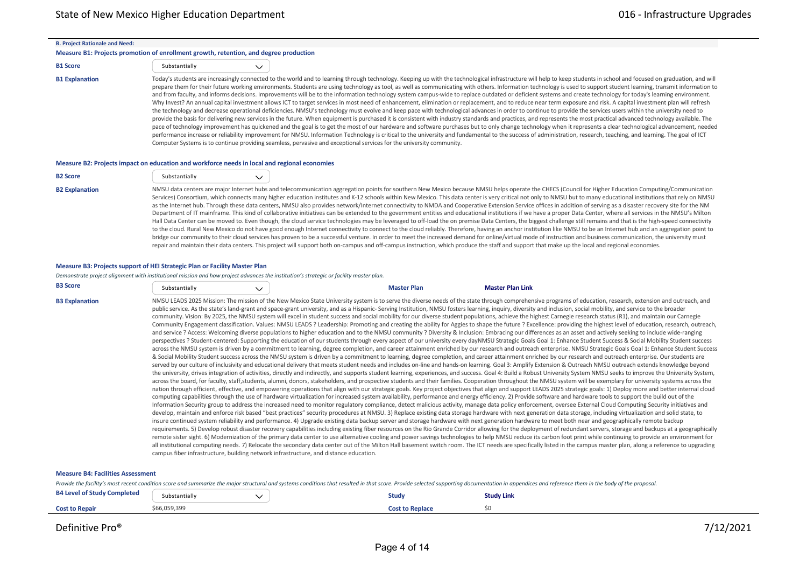|  | <b>B. Project Rationale and Need:</b> |  |  |
|--|---------------------------------------|--|--|
|--|---------------------------------------|--|--|

## **Measure B1: Projects promotion of enrollment growth, retention, and degree production**

 $\checkmark$ 

### **B1 Score** Substantially

B1 Explanation Today's students are increasingly connected to the world and to learning through technology. Keeping up with the technological infrastructure will help to keep students in school and focused on graduation, a prepare them for their future working environments. Students are using technology as tool, as well as communicating with others. Information technology is used to support student learning, transmit information to and from faculty, and informs decisions. Improvements will be to the information technology system campus-wide to replace outdated or deficient systems and create technology for today's learning environment. Why Invest? An annual capital investment allows ICT to target services in most need of enhancement, elimination or replacement, and to reduce near term exposure and risk. A capital investment plan will refresh the technology and decrease operational deficiencies. NMSU's technology must evolve and keep pace with technological advances in order to continue to provide the services users within the university need to provide the basis for delivering new services in the future. When equipment is purchased it is consistent with industry standards and practices, and represents the most practical advanced technology available. The pace of technology improvement has quickened and the goal is to get the most of our hardware and software purchases but to only change technology when it represents a clear technological advancement, needed performance increase or reliability improvement for NMSU. Information Technology is critical to the university and fundamental to the success of administration, research, teaching, and learning. The goal of ICT Computer Systems is to continue providing seamless, pervasive and exceptional services for the university community.

#### **Measure B2: Projects impact on education and workforce needs in local and regional economies**

| <b>B2 Score</b>       | Substantially |                                                                                                                                                                                                                                                                                                                                                                                                                                                                                                                                                                                                                                                                                                                                                                                                                                                                                                                                                                                                                                                                                                                                                                                                                                                                                                                                                                                                                                                                                                                                                                                                                                                                                                                                              |
|-----------------------|---------------|----------------------------------------------------------------------------------------------------------------------------------------------------------------------------------------------------------------------------------------------------------------------------------------------------------------------------------------------------------------------------------------------------------------------------------------------------------------------------------------------------------------------------------------------------------------------------------------------------------------------------------------------------------------------------------------------------------------------------------------------------------------------------------------------------------------------------------------------------------------------------------------------------------------------------------------------------------------------------------------------------------------------------------------------------------------------------------------------------------------------------------------------------------------------------------------------------------------------------------------------------------------------------------------------------------------------------------------------------------------------------------------------------------------------------------------------------------------------------------------------------------------------------------------------------------------------------------------------------------------------------------------------------------------------------------------------------------------------------------------------|
| <b>B2 Explanation</b> |               | NMSU data centers are major Internet hubs and telecommunication aggregation points for southern New Mexico because NMSU helps operate the CHECS (Council for Higher Education Computing/Communication<br>Services) Consortium, which connects many higher education institutes and K-12 schools within New Mexico. This data center is very critical not only to NMSU but to many educational institutions that rely on NMSU<br>as the Internet hub. Through these data centers, NMSU also provides network/Internet connectivity to NMDA and Cooperative Extension Service offices in addition of serving as a disaster recovery site for the NM<br>Department of IT mainframe. This kind of collaborative initiatives can be extended to the government entities and educational institutions if we have a proper Data Center, where all services in the NMSU's Milton<br>Hall Data Center can be moved to. Even though, the cloud service technologies may be leveraged to off-load the on premise Data Centers, the biggest challenge still remains and that is the high-speed connectivity<br>to the cloud. Rural New Mexico do not have good enough Internet connectivity to connect to the cloud reliably. Therefore, having an anchor institution like NMSU to be an Internet hub and an aggregation point to<br>bridge our community to their cloud services has proven to be a successful venture. In order to meet the increased demand for online/virtual mode of instruction and business communication, the university must<br>repair and maintain their data centers. This project will support both on-campus and off-campus instruction, which produce the staff and support that make up the local and regional economies. |

#### **Measure B3: Projects support of HEI Strategic Plan or Facility Master Plan**

#### *Demonstrate project alignment with institutional mission and how project advances the institution's strategic or facility master plan.*

| <b>B3 Score</b> | substantially |  | <sup>⊶</sup> ≏r Plan<br>Master | <b>Master Plan Link</b> |
|-----------------|---------------|--|--------------------------------|-------------------------|
|-----------------|---------------|--|--------------------------------|-------------------------|

B3 Explanation MMSU LEADS 2025 Mission: The mission of the New Mexico State University system is to serve the diverse needs of the state through comprehensive programs of education, research, extension and outreach, and public service. As the state's land-grant and space-grant university, and as a Hispanic‐ Serving Institution, NMSU fosters learning, inquiry, diversity and inclusion, social mobility, and service to the broader community. Vision: By 2025, the NMSU system will excel in student success and social mobility for our diverse student populations, achieve the highest Carnegie research status (R1), and maintain our Carnegie Community Engagement classification. Values: NMSU LEADS ? Leadership: Promoting and creating the ability for Aggies to shape the future ? Excellence: providing the highest level of education, research, outreach, and service ? Access: Welcoming diverse populations to higher education and to the NMSU community ? Diversity & Inclusion: Embracing our differences as an asset and actively seeking to include wide-ranging perspectives ? Student-centered: Supporting the education of our students through every aspect of our university every dayNMSU Strategic Goals Goal 1: Enhance Student Success & Social Mobility Student success across the NMSU system is driven by a commitment to learning, degree completion, and career attainment enriched by our research and outreach enterprise. NMSU Strategic Goals Goal 1: Enhance Student Success & Social Mobility Student success across the NMSU system is driven by a commitment to learning, degree completion, and career attainment enriched by our research and outreach enterprise. Our students are served by our culture of inclusivity and educational delivery that meets student needs and includes on-line and hands-on learning. Goal 3: Amplify Extension & Outreach NMSU outreach extends knowledge beyond the university, drives integration of activities, directly and indirectly, and supports student learning, experiences, and success. Goal 4: Build a Robust University System NMSU seeks to improve the University System, across the board, for faculty, staff,students, alumni, donors, stakeholders, and prospective students and their families. Cooperation throughout the NMSU system will be exemplary for university systems across the nation through efficient, effective, and empowering operations that align with our strategic goals. Key project objectives that align and support LEADS 2025 strategic goals: 1) Deploy more and better internal cloud computing capabilities through the use of hardware virtualization for increased system availability, performance and energy efficiency. 2) Provide software and hardware tools to support the build out of the Information Security group to address the increased need to monitor regulatory compliance, detect malicious activity, manage data policy enforcement, oversee External Cloud Computing Security initiatives and develop, maintain and enforce risk based "best practices" security procedures at NMSU. 3) Replace existing data storage hardware with next generation data storage, including virtualization and solid state, to insure continued system reliability and performance. 4) Upgrade existing data backup server and storage hardware with next generation hardware to meet both near and geographically remote backup requirements. 5) Develop robust disaster recovery capabilities including existing fiber resources on the Rio Grande Corridor allowing for the deployment of redundant servers, storage and backups at a geographically remote sister sight. 6) Modernization of the primary data center to use alternative cooling and power savings technologies to help NMSU reduce its carbon foot print while continuing to provide an environment for all institutional computing needs. 7) Relocate the secondary data center out of the Milton Hall basement switch room. The ICT needs are specifically listed in the campus master plan, along a reference to upgrading campus fiber infrastructure, building network infrastructure, and distance education.

#### **Measure B4: Facilities Assessment**

Provide the facility's most recent condition score and summarize the major structural and systems conditions that resulted in that score. Provide selected supporting documentation in appendices and reference them in the bo

| <b>B4 Level of Study Completed</b> | Substantially | Study           | <b>Study Link</b> |  |
|------------------------------------|---------------|-----------------|-------------------|--|
| <b>Cost to Repair</b>              | 06,059,399ء   | Cost to Replace |                   |  |

### $\mathsf{Definitive}\ \mathsf{Pro}^\circ$ Definitive Pro® 27/12/2021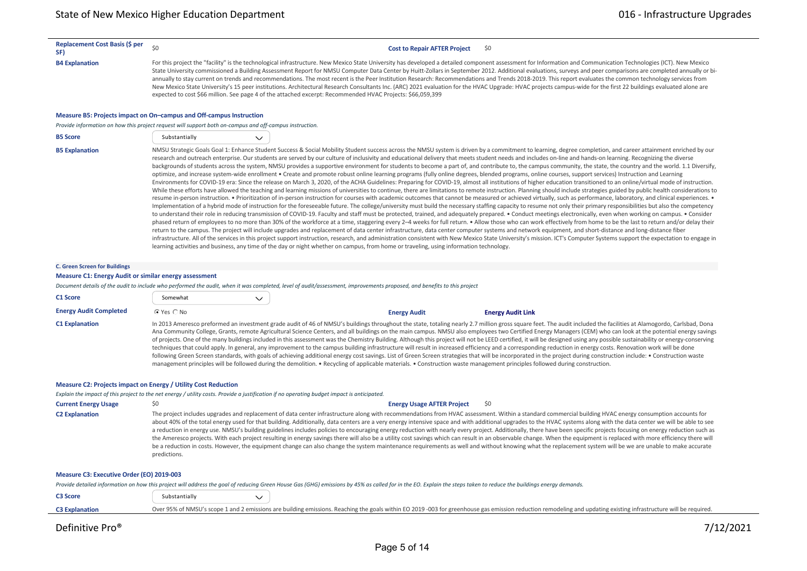#### **Replacement Cost Basis (\$ per**

**SF)**  $\frac{1}{20}$  **Cost to Repair AFTER Project**  $\frac{1}{20}$  SF)

B4 Explanation Experiment and Communication Technologies (ICT). New Mexico State University has developed a detailed component assessment for Information and Communication Technologies (ICT). New Mexico State University commissioned a Building Assessment Report for NMSU Computer Data Center by Huitt‐Zollars in September 2012. Additional evaluations, surveys and peer comparisons are completed annually or bi‐ annually to stay current on trends and recommendations. The most recent is the Peer Institution Research: Recommendations and Trends 2018-2019. This report evaluates the common technology services from New Mexico State University's 15 peer institutions. Architectural Research Consultants Inc. (ARC) 2021 evaluation for the HVAC Upgrade: HVAC projects campus-wide for the first 22 buildings evaluated alone are expected to cost \$66 million. See page 4 of the attached excerpt: Recommended HVAC Projects: \$66,059,399

#### **Measure B5: Projects impact on On–campus and Off‐campus Instruction**

*Provide information on how this project request will support both on‐campus and off‐campus instruction.*

| <b>B5 Score</b>       | Substantially                                   |  |
|-----------------------|-------------------------------------------------|--|
| <b>B5 Explanation</b> | NMSU Strategic Goals Goal 1: Enhance Student Su |  |

access & Social Mobility Student success across the NMSU system is driven by a commitment to learning, degree completion, and career attainment enriched by our research and outreach enterprise. Our students are served by our culture of inclusivity and educational delivery that meets student needs and includes on-line and hands-on learning. Recognizing the diverse backgrounds of students across the system, NMSU provides a supportive environment for students to become a part of, and contribute to, the campus community, the state, the country and the world. 1.1 Diversify, optimize, and increase system‐wide enrollment • Create and promote robust online learning programs (fully online degrees, blended programs, online courses, support services) Instruction and Learning Environments for COVID-19 era: Since the release on March 3, 2020, of the ACHA Guidelines: Preparing for COVID-19, almost all institutions of higher education transitioned to an online/virtual mode of instruction. While these efforts have allowed the teaching and learning missions of universities to continue, there are limitations to remote instruction. Planning should include strategies guided by public health considerations to resume in-person instruction. • Prioritization of in-person instruction for courses with academic outcomes that cannot be measured or achieved virtually, such as performance, laboratory, and clinical experiences. • Implementation of a hybrid mode of instruction for the foreseeable future. The college/university must build the necessary staffing capacity to resume not only their primary responsibilities but also the competency to understand their role in reducing transmission of COVID‐19. Faculty and staff must be protected, trained, and adequately prepared. • Conduct meetings electronically, even when working on campus. • Consider phased return of employees to no more than 30% of the workforce at a time, staggering every 2-4 weeks for full return. . Allow those who can work effectively from home to be the last to return and/or delay their return to the campus. The project will include upgrades and replacement of data center infrastructure, data center computer systems and network equipment, and short‐distance and long‐distance fiber infrastructure. All of the services in this project support instruction, research, and administration consistent with New Mexico State University's mission. ICT's Computer Systems support the expectation to engage in learning activities and business, any time of the day or night whether on campus, from home or traveling, using information technology.

#### **C. Green Screen for Buildings**

#### **Measure C1: Energy Audit or similar energy assessment**

*Document details of the audit to include who performed the audit, when it was completed, level of audit/assessment, improvements proposed, and benefits to this project*

| C1 Score                      | Somewhat       |  |                     |                                                                                                                                                                                                                                                                                                                                                                                                                                                                                                                                                                                                                                                                                                                                                                                                                                                                                                                                                                                                                                                                                                                                                                                                                                                                                               |  |
|-------------------------------|----------------|--|---------------------|-----------------------------------------------------------------------------------------------------------------------------------------------------------------------------------------------------------------------------------------------------------------------------------------------------------------------------------------------------------------------------------------------------------------------------------------------------------------------------------------------------------------------------------------------------------------------------------------------------------------------------------------------------------------------------------------------------------------------------------------------------------------------------------------------------------------------------------------------------------------------------------------------------------------------------------------------------------------------------------------------------------------------------------------------------------------------------------------------------------------------------------------------------------------------------------------------------------------------------------------------------------------------------------------------|--|
| <b>Energy Audit Completed</b> | $C$ Yes $C$ No |  | <b>Energy Audit</b> | <b>Energy Audit Link</b>                                                                                                                                                                                                                                                                                                                                                                                                                                                                                                                                                                                                                                                                                                                                                                                                                                                                                                                                                                                                                                                                                                                                                                                                                                                                      |  |
| <b>C1 Explanation</b>         |                |  |                     | In 2013 Ameresco preformed an investment grade audit of 46 of NMSU's buildings throughout the state, totaling nearly 2.7 million gross square feet. The audit included the facilities at Alamogordo, Carlsbad, Dona<br>Ana Community College, Grants, remote Agricultural Science Centers, and all buildings on the main campus. NMSU also employees two Certified Energy Managers (CEM) who can look at the potential energy savings<br>of projects. One of the many buildings included in this assessment was the Chemistry Building. Although this project will not be LEED certified, it will be designed using any possible sustainability or energy-conserving<br>techniques that could apply. In general, any improvement to the campus building infrastructure will result in increased efficiency and a corresponding reduction in energy costs. Renovation work will be done<br>following Green Screen standards, with goals of achieving additional energy cost savings. List of Green Screen strategies that will be incorporated in the project during construction include: . Construction waste<br>management principles will be followed during the demolition. • Recycling of applicable materials. • Construction waste management principles followed during construction. |  |

#### **Measure C2: Projects impact on Energy / Utility Cost Reduction**

*Explain the impact of this project to the net energy / utility costs. Provide a justification if no operating budget impact is anticipated.*

| <b>Current Energy Usage</b> | <b>Energy Usage AFTER Project</b><br>- SO                                                                                                                                                                                                                                                                                                                                                                                                                                                                                                                                                                                                                                                                                                                                                                                                                                                                                                                                                                                                                                                                           |
|-----------------------------|---------------------------------------------------------------------------------------------------------------------------------------------------------------------------------------------------------------------------------------------------------------------------------------------------------------------------------------------------------------------------------------------------------------------------------------------------------------------------------------------------------------------------------------------------------------------------------------------------------------------------------------------------------------------------------------------------------------------------------------------------------------------------------------------------------------------------------------------------------------------------------------------------------------------------------------------------------------------------------------------------------------------------------------------------------------------------------------------------------------------|
| <b>C2 Explanation</b>       | The project includes upgrades and replacement of data center infrastructure along with recommendations from HVAC assessment. Within a standard commercial building HVAC energy consumption accounts for<br>about 40% of the total energy used for that building. Additionally, data centers are a very energy intensive space and with additional upgrades to the HVAC systems along with the data center we will be able to see<br>a reduction in energy use. NMSU's building guidelines includes policies to encouraging energy reduction with nearly every project. Additionally, there have been specific projects focusing on energy reduction such as<br>the Ameresco projects. With each project resulting in energy savings there will also be a utility cost savings which can result in an observable change. When the equipment is replaced with more efficiency there will<br>be a reduction in costs. However, the equipment change can also change the system maintenance requirements as well and without knowing what the replacement system will be we are unable to make accurate<br>predictions. |

#### **Measure C3: Executive Order (EO) 2019‐003**

*Provide detailed information on how this project will address the goal of reducing Green House Gas (GHG) emissions by 45% as called for in the EO. Explain the steps taken to reduce the buildings energy demands.*

| <b>C3 Score</b>       | Substantially |                                                                                                                                                                                                                   |
|-----------------------|---------------|-------------------------------------------------------------------------------------------------------------------------------------------------------------------------------------------------------------------|
| <b>C3 Explanation</b> |               | Over 95% of NMSU's scope 1 and 2 emissions are building emissions. Reaching the goals within EO 2019 -003 for greenhouse gas emission reduction remodeling and updating existing infrastructure will be required. |
|                       |               |                                                                                                                                                                                                                   |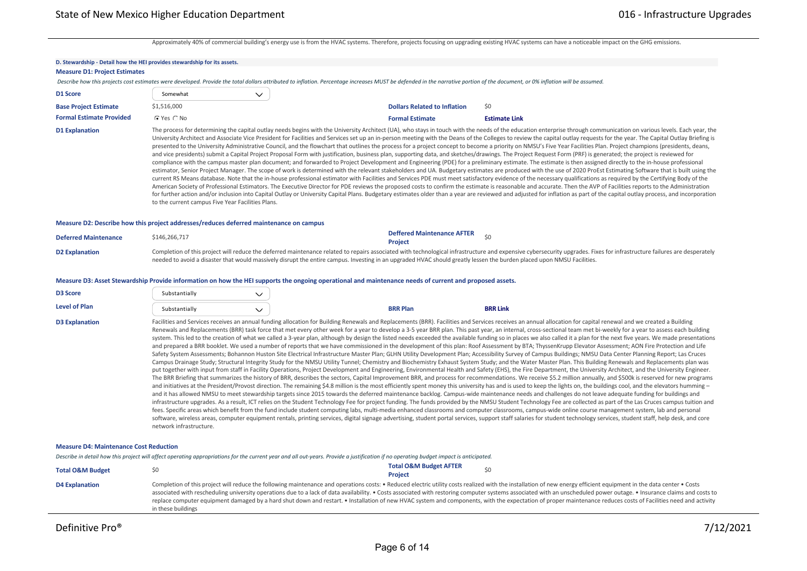Approximately 40% of commercial building's energy use is from the HVAC systems. Therefore, projects focusing on upgrading existing HVAC systems can have a noticeable impact on the GHG emissions.

,我们也不会有什么。""我们的人,我们也不会有什么?""我们的人,我们也不会有什么?""我们的人,我们也不会有什么?""我们的人,我们也不会有什么?""我们的人

| D. Stewardship - Detail how the HEI provides stewardship for its assets.<br><b>Measure D1: Project Estimates</b> |                                                   |              |                                                                                                                                                                                                                               |                                                                                                                                                                                                                                                                                                                                                                                                                                                                                                                                                                                                                                                                                                                                                                                                                                                                                                                                                                                                                                                                                                                                                                                                                                                                                                                                                                                                                                                                                                                                                                                                                                                                                                                                                                                                                                                                                                                                                                                                                                                                                                                                                                                                                                                                                                                                                                                                                                                                                                                                                                                                                                                                                                                                                                                                                                                                |
|------------------------------------------------------------------------------------------------------------------|---------------------------------------------------|--------------|-------------------------------------------------------------------------------------------------------------------------------------------------------------------------------------------------------------------------------|----------------------------------------------------------------------------------------------------------------------------------------------------------------------------------------------------------------------------------------------------------------------------------------------------------------------------------------------------------------------------------------------------------------------------------------------------------------------------------------------------------------------------------------------------------------------------------------------------------------------------------------------------------------------------------------------------------------------------------------------------------------------------------------------------------------------------------------------------------------------------------------------------------------------------------------------------------------------------------------------------------------------------------------------------------------------------------------------------------------------------------------------------------------------------------------------------------------------------------------------------------------------------------------------------------------------------------------------------------------------------------------------------------------------------------------------------------------------------------------------------------------------------------------------------------------------------------------------------------------------------------------------------------------------------------------------------------------------------------------------------------------------------------------------------------------------------------------------------------------------------------------------------------------------------------------------------------------------------------------------------------------------------------------------------------------------------------------------------------------------------------------------------------------------------------------------------------------------------------------------------------------------------------------------------------------------------------------------------------------------------------------------------------------------------------------------------------------------------------------------------------------------------------------------------------------------------------------------------------------------------------------------------------------------------------------------------------------------------------------------------------------------------------------------------------------------------------------------------------------|
|                                                                                                                  |                                                   |              | Describe how this projects cost estimates were developed. Provide the total dollars attributed to inflation. Percentage increases MUST be defended in the narrative portion of the document, or 0% inflation will be assumed. |                                                                                                                                                                                                                                                                                                                                                                                                                                                                                                                                                                                                                                                                                                                                                                                                                                                                                                                                                                                                                                                                                                                                                                                                                                                                                                                                                                                                                                                                                                                                                                                                                                                                                                                                                                                                                                                                                                                                                                                                                                                                                                                                                                                                                                                                                                                                                                                                                                                                                                                                                                                                                                                                                                                                                                                                                                                                |
| D1 Score                                                                                                         | Somewhat                                          | $\checkmark$ |                                                                                                                                                                                                                               |                                                                                                                                                                                                                                                                                                                                                                                                                                                                                                                                                                                                                                                                                                                                                                                                                                                                                                                                                                                                                                                                                                                                                                                                                                                                                                                                                                                                                                                                                                                                                                                                                                                                                                                                                                                                                                                                                                                                                                                                                                                                                                                                                                                                                                                                                                                                                                                                                                                                                                                                                                                                                                                                                                                                                                                                                                                                |
| <b>Base Project Estimate</b>                                                                                     | \$1,516,000                                       |              | <b>Dollars Related to Inflation</b>                                                                                                                                                                                           | \$0                                                                                                                                                                                                                                                                                                                                                                                                                                                                                                                                                                                                                                                                                                                                                                                                                                                                                                                                                                                                                                                                                                                                                                                                                                                                                                                                                                                                                                                                                                                                                                                                                                                                                                                                                                                                                                                                                                                                                                                                                                                                                                                                                                                                                                                                                                                                                                                                                                                                                                                                                                                                                                                                                                                                                                                                                                                            |
| <b>Formal Estimate Provided</b>                                                                                  | C Yes C No                                        |              | <b>Formal Estimate</b>                                                                                                                                                                                                        | <b>Estimate Link</b>                                                                                                                                                                                                                                                                                                                                                                                                                                                                                                                                                                                                                                                                                                                                                                                                                                                                                                                                                                                                                                                                                                                                                                                                                                                                                                                                                                                                                                                                                                                                                                                                                                                                                                                                                                                                                                                                                                                                                                                                                                                                                                                                                                                                                                                                                                                                                                                                                                                                                                                                                                                                                                                                                                                                                                                                                                           |
| <b>D1 Explanation</b>                                                                                            | to the current campus Five Year Facilities Plans. |              |                                                                                                                                                                                                                               | The process for determining the capital outlay needs begins with the University Architect (UA), who stays in touch with the needs of the education enterprise through communication on various levels. Each year, the<br>University Architect and Associate Vice President for Facilities and Services set up an in-person meeting with the Deans of the Colleges to review the capital outlay requests for the year. The Capital Outlay Briefing is<br>presented to the University Administrative Council, and the flowchart that outlines the process for a project concept to become a priority on NMSU's Five Year Facilities Plan. Project champions (presidents, deans,<br>and vice presidents) submit a Capital Project Proposal Form with justification, business plan, supporting data, and sketches/drawings. The Project Request Form (PRF) is generated; the project is reviewed for<br>compliance with the campus master plan document; and forwarded to Project Development and Engineering (PDE) for a preliminary estimate. The estimate is then assigned directly to the in-house professional<br>estimator, Senior Project Manager. The scope of work is determined with the relevant stakeholders and UA. Budgetary estimates are produced with the use of 2020 ProEst Estimating Software that is built using the<br>current RS Means database. Note that the in-house professional estimator with Facilities and Services PDE must meet satisfactory evidence of the necessary qualifications as required by the Certifying Body of the<br>American Society of Professional Estimators. The Executive Director for PDE reviews the proposed costs to confirm the estimate is reasonable and accurate. Then the AVP of Facilities reports to the Administration<br>for further action and/or inclusion into Capital Outlay or University Capital Plans. Budgetary estimates older than a year are reviewed and adjusted for inflation as part of the capital outlay process, and incorporation                                                                                                                                                                                                                                                                                                                                                                                                                                                                                                                                                                                                                                                                                                                                                                                                                                             |
| Measure D2: Describe how this project addresses/reduces deferred maintenance on campus                           |                                                   |              |                                                                                                                                                                                                                               |                                                                                                                                                                                                                                                                                                                                                                                                                                                                                                                                                                                                                                                                                                                                                                                                                                                                                                                                                                                                                                                                                                                                                                                                                                                                                                                                                                                                                                                                                                                                                                                                                                                                                                                                                                                                                                                                                                                                                                                                                                                                                                                                                                                                                                                                                                                                                                                                                                                                                                                                                                                                                                                                                                                                                                                                                                                                |
| <b>Deferred Maintenance</b>                                                                                      | \$146,266,717                                     |              | <b>Deffered Maintenance AFTER</b><br><b>Project</b>                                                                                                                                                                           | \$0                                                                                                                                                                                                                                                                                                                                                                                                                                                                                                                                                                                                                                                                                                                                                                                                                                                                                                                                                                                                                                                                                                                                                                                                                                                                                                                                                                                                                                                                                                                                                                                                                                                                                                                                                                                                                                                                                                                                                                                                                                                                                                                                                                                                                                                                                                                                                                                                                                                                                                                                                                                                                                                                                                                                                                                                                                                            |
| <b>D2 Explanation</b>                                                                                            |                                                   |              | needed to avoid a disaster that would massively disrupt the entire campus. Investing in an upgraded HVAC should greatly lessen the burden placed upon NMSU Facilities.                                                        | Completion of this project will reduce the deferred maintenance related to repairs associated with technological infrastructure and expensive cybersecurity upgrades. Fixes for infrastructure failures are desperately                                                                                                                                                                                                                                                                                                                                                                                                                                                                                                                                                                                                                                                                                                                                                                                                                                                                                                                                                                                                                                                                                                                                                                                                                                                                                                                                                                                                                                                                                                                                                                                                                                                                                                                                                                                                                                                                                                                                                                                                                                                                                                                                                                                                                                                                                                                                                                                                                                                                                                                                                                                                                                        |
|                                                                                                                  |                                                   |              | Measure D3: Asset Stewardship Provide information on how the HEI supports the ongoing operational and maintenance needs of current and proposed assets.                                                                       |                                                                                                                                                                                                                                                                                                                                                                                                                                                                                                                                                                                                                                                                                                                                                                                                                                                                                                                                                                                                                                                                                                                                                                                                                                                                                                                                                                                                                                                                                                                                                                                                                                                                                                                                                                                                                                                                                                                                                                                                                                                                                                                                                                                                                                                                                                                                                                                                                                                                                                                                                                                                                                                                                                                                                                                                                                                                |
| <b>D3 Score</b>                                                                                                  | Substantially                                     | $\checkmark$ |                                                                                                                                                                                                                               |                                                                                                                                                                                                                                                                                                                                                                                                                                                                                                                                                                                                                                                                                                                                                                                                                                                                                                                                                                                                                                                                                                                                                                                                                                                                                                                                                                                                                                                                                                                                                                                                                                                                                                                                                                                                                                                                                                                                                                                                                                                                                                                                                                                                                                                                                                                                                                                                                                                                                                                                                                                                                                                                                                                                                                                                                                                                |
| <b>Level of Plan</b>                                                                                             | Substantially                                     | $\checkmark$ | <b>BRR Plan</b>                                                                                                                                                                                                               | <b>BRR Link</b>                                                                                                                                                                                                                                                                                                                                                                                                                                                                                                                                                                                                                                                                                                                                                                                                                                                                                                                                                                                                                                                                                                                                                                                                                                                                                                                                                                                                                                                                                                                                                                                                                                                                                                                                                                                                                                                                                                                                                                                                                                                                                                                                                                                                                                                                                                                                                                                                                                                                                                                                                                                                                                                                                                                                                                                                                                                |
| <b>D3 Explanation</b>                                                                                            | network infrastructure.                           |              |                                                                                                                                                                                                                               | Facilities and Services receives an annual funding allocation for Building Renewals and Replacements (BRR). Facilities and Services receives an annual allocation for capital renewal and we created a Building<br>Renewals and Replacements (BRR) task force that met every other week for a year to develop a 3-5 year BRR plan. This past year, an internal, cross-sectional team met bi-weekly for a year to assess each building<br>system. This led to the creation of what we called a 3-year plan, although by design the listed needs exceeded the available funding so in places we also called it a plan for the next five years. We made presentations<br>and prepared a BRR booklet. We used a number of reports that we have commissioned in the development of this plan: Roof Assessment by BTA; ThyssenKrupp Elevator Assessment; AON Fire Protection and Life<br>Safety System Assessments; Bohannon Huston Site Electrical Infrastructure Master Plan; GLHN Utility Development Plan; Accessibility Survey of Campus Buildings; NMSU Data Center Planning Report; Las Cruces<br>Campus Drainage Study; Structural Integrity Study for the NMSU Utility Tunnel; Chemistry and Biochemistry Exhaust System Study; and the Water Master Plan. This Building Renewals and Replacements plan was<br>put together with input from staff in Facility Operations, Project Development and Engineering, Environmental Health and Safety (EHS), the Fire Department, the University Architect, and the University Engineer.<br>The BRR Briefing that summarizes the history of BRR, describes the sectors, Capital Improvement BRR, and process for recommendations. We receive \$5.2 million annually, and \$500k is reserved for new programs<br>and initiatives at the President/Provost direction. The remaining \$4.8 million is the most efficiently spent money this university has and is used to keep the lights on, the buildings cool, and the elevators humming -<br>and it has allowed NMSU to meet stewardship targets since 2015 towards the deferred maintenance backlog. Campus-wide maintenance needs and challenges do not leave adequate funding for buildings and<br>infrastructure upgrades. As a result, ICT relies on the Student Technology Fee for project funding. The funds provided by the NMSU Student Technology Fee are collected as part of the Las Cruces campus tuition and<br>fees. Specific areas which benefit from the fund include student computing labs, multi-media enhanced classrooms and computer classrooms, campus-wide online course management system, lab and personal<br>software, wireless areas, computer equipment rentals, printing services, digital signage advertising, student portal services, support staff salaries for student technology services, student taff, help desk, and core |
| <b>Measure D4: Maintenance Cost Reduction</b>                                                                    |                                                   |              |                                                                                                                                                                                                                               |                                                                                                                                                                                                                                                                                                                                                                                                                                                                                                                                                                                                                                                                                                                                                                                                                                                                                                                                                                                                                                                                                                                                                                                                                                                                                                                                                                                                                                                                                                                                                                                                                                                                                                                                                                                                                                                                                                                                                                                                                                                                                                                                                                                                                                                                                                                                                                                                                                                                                                                                                                                                                                                                                                                                                                                                                                                                |
|                                                                                                                  |                                                   |              | Describe in detail how this project will affect operating appropriations for the current year and all out-years. Provide a justification if no operating budget impact is anticipated.                                        |                                                                                                                                                                                                                                                                                                                                                                                                                                                                                                                                                                                                                                                                                                                                                                                                                                                                                                                                                                                                                                                                                                                                                                                                                                                                                                                                                                                                                                                                                                                                                                                                                                                                                                                                                                                                                                                                                                                                                                                                                                                                                                                                                                                                                                                                                                                                                                                                                                                                                                                                                                                                                                                                                                                                                                                                                                                                |
| <b>Total O&amp;M Budget</b>                                                                                      | \$0                                               |              | <b>Total O&amp;M Budget AFTER</b><br>Project                                                                                                                                                                                  | \$0                                                                                                                                                                                                                                                                                                                                                                                                                                                                                                                                                                                                                                                                                                                                                                                                                                                                                                                                                                                                                                                                                                                                                                                                                                                                                                                                                                                                                                                                                                                                                                                                                                                                                                                                                                                                                                                                                                                                                                                                                                                                                                                                                                                                                                                                                                                                                                                                                                                                                                                                                                                                                                                                                                                                                                                                                                                            |
| <b>D4 Explanation</b>                                                                                            |                                                   |              |                                                                                                                                                                                                                               | Completion of this project will reduce the following maintenance and operations costs: . Reduced electric utility costs realized with the installation of new energy efficient equipment in the data center . Costs<br>associated with rescheduling university operations due to a lack of data availability. . Costs associated with restoring computer systems associated with an unscheduled power outage. . Insurance claims and costs to<br>replace computer equipment damaged by a hard shut down and restart. • Installation of new HVAC system and components, with the expectation of proper maintenance reduces costs of Facilities need and activity                                                                                                                                                                                                                                                                                                                                                                                                                                                                                                                                                                                                                                                                                                                                                                                                                                                                                                                                                                                                                                                                                                                                                                                                                                                                                                                                                                                                                                                                                                                                                                                                                                                                                                                                                                                                                                                                                                                                                                                                                                                                                                                                                                                                |

in these buildings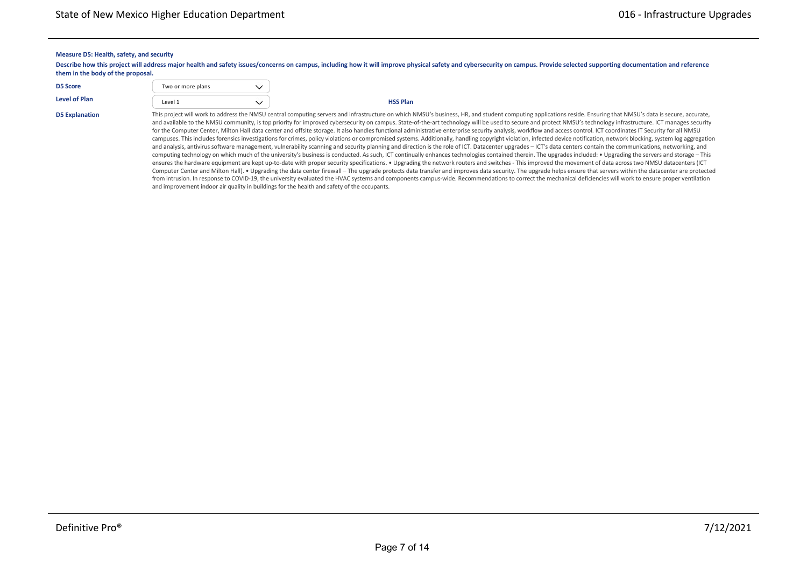#### **Measure D5: Health, safety, and security**

Describe how this project will address major health and safety issues/concerns on campus, including how it will improve physical safety and cybersecurity on campus. Provide selected supporting documentation and reference **them in the body of the proposal.**

| <b>D5 Score</b>       | Two or more plans |                                                                                                     |
|-----------------------|-------------------|-----------------------------------------------------------------------------------------------------|
| Level of Plan         | Level 1           | <b>HSS Plan</b>                                                                                     |
| <b>DE Evalopation</b> |                   | This project will work to address the NMSLL central computing servers and infrastructure on which N |

**External Contract Labor \$** \$0 \$0 \$0 \$0 \$0 \$0

D5 Explanation This project will work to address the NMSU central computing servers and infrastructure on which NMSU's business, HR, and student computing applications reside. Ensuring that NMSU's data is secure, accurate, and available to the NMSU community, is top priority for improved cybersecurity on campus. State-of-the-art technology will be used to secure and protect NMSU's technology infrastructure. ICT manages security for the Computer Center, Milton Hall data center and offsite storage. It also handles functional administrative enterprise security analysis, workflow and access control. ICT coordinates IT Security for all NMSU campuses. This includes forensics investigations for crimes, policy violations or compromised systems. Additionally, handling copyright violation, infected device notification, network blocking, system log aggregation and analysis, antivirus software management, vulnerability scanning and security planning and direction is the role of ICT. Datacenter upgrades – ICT's data centers contain the communications, networking, and computing technology on which much of the university's business is conducted. As such, ICT continually enhances technologies contained therein. The upgrades included: • Upgrading the servers and storage – This ensures the hardware equipment are kept up-to-date with proper security specifications. ● Upgrading the network routers and switches - This improved the movement of data across two NMSU datacenters (ICT Computer Center and Milton Hall). . Upgrading the data center firewall – The upgrade protects data transfer and improves data security. The upgrade helps ensure that servers within the datacenter are protected from intrusion. In response to COVID-19, the university evaluated the HVAC systems and components campus-wide. Recommendations to correct the mechanical deficiencies will work to ensure proper ventilation and improvement indoor air quality in buildings for the health and safety of the occupants.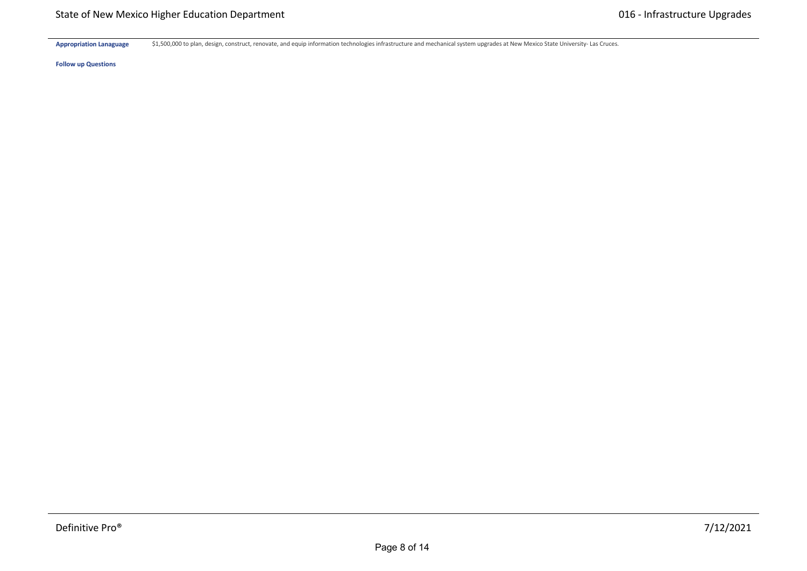Appropriation Lanaguage \$1,500,000 to plan, design, construct, renovate, and equip information technologies infrastructure and mechanical system upgrades at New Mexico State University- Las Cruces.

**Follow up Questions**

**Hardware \$** \$0 \$0 \$0 \$0 \$0 \$0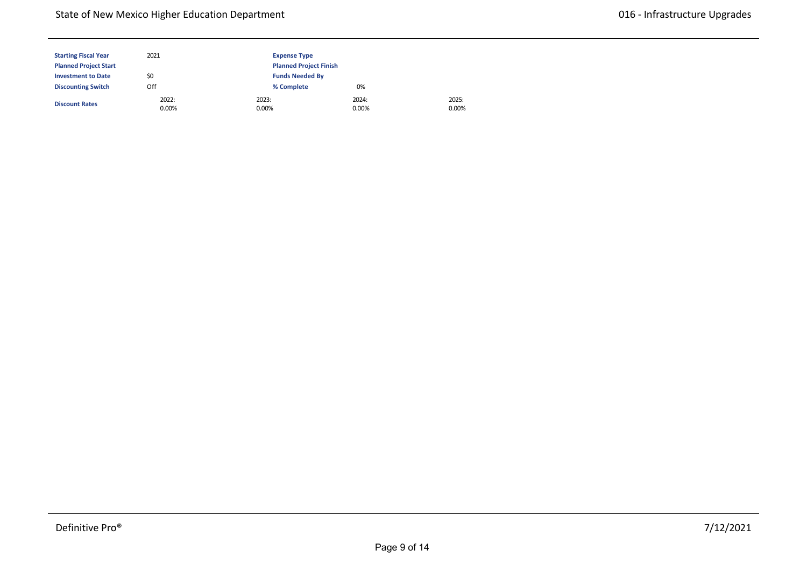| <b>Starting Fiscal Year</b>  | 2021              | <b>Expense Type</b> |                               |                |  |  |  |
|------------------------------|-------------------|---------------------|-------------------------------|----------------|--|--|--|
| <b>Planned Project Start</b> |                   |                     | <b>Planned Project Finish</b> |                |  |  |  |
| <b>Investment to Date</b>    | \$0               |                     | <b>Funds Needed By</b>        |                |  |  |  |
| <b>Discounting Switch</b>    | Off               | % Complete          | 0%                            |                |  |  |  |
| <b>Discount Rates</b>        | 2022:<br>$0.00\%$ | 2023:<br>0.00%      | 2024:<br>$0.00\%$             | 2025:<br>0.00% |  |  |  |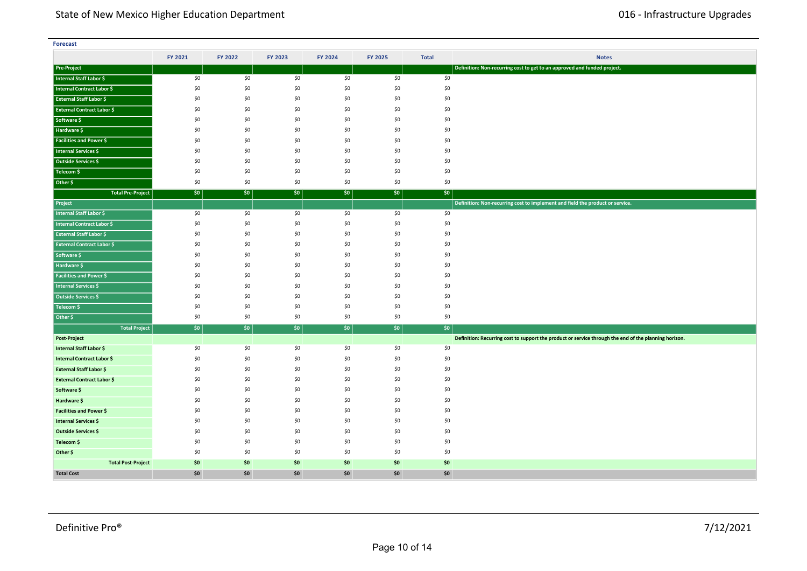| <b>Forecast</b>                   |         |         |         |         |         |              |                                                                                                       |
|-----------------------------------|---------|---------|---------|---------|---------|--------------|-------------------------------------------------------------------------------------------------------|
|                                   | FY 2021 | FY 2022 | FY 2023 | FY 2024 | FY 2025 | <b>Total</b> | <b>Notes</b>                                                                                          |
| <b>Pre-Project</b>                |         |         |         |         |         |              | Definition: Non-recurring cost to get to an approved and funded project.                              |
| Internal Staff Labor \$           | \$0     | \$0     | \$0     | \$0     | \$0     | \$0          |                                                                                                       |
| Internal Contract Labor \$        | \$0     | \$0     | \$0     | \$0     | \$0     | \$0          |                                                                                                       |
| <b>External Staff Labor \$</b>    | \$0     | \$0     | \$0     | \$0     | \$0     | \$0          |                                                                                                       |
| <b>External Contract Labor \$</b> | \$0     | \$0     | \$0     | \$0     | \$0     | \$0          |                                                                                                       |
| Software \$                       | \$0     | \$0     | \$0     | \$0     | \$0     | \$0          |                                                                                                       |
| Hardware \$                       | \$0     | \$0     | \$0     | \$0     | \$0     | \$0          |                                                                                                       |
| <b>Facilities and Power \$</b>    | \$0     | \$0     | \$0     | \$0     | \$0     | \$0          |                                                                                                       |
| <b>Internal Services \$</b>       | \$0     | \$0     | \$0     | \$0     | \$0     | \$0          |                                                                                                       |
| Outside Services \$               | \$0     | \$0     | \$0     | \$0     | \$0     | \$0          |                                                                                                       |
| Telecom \$                        | \$0     | \$0     | \$0     | \$0     | \$0     | \$0          |                                                                                                       |
| Other \$                          | \$0     | \$0     | \$0     | \$0     | \$0     | \$0          |                                                                                                       |
| <b>Total Pre-Project</b>          | \$0     | \$0\$   | \$0     | \$0     | $ $ \$0 | \$0          |                                                                                                       |
| Project                           |         |         |         |         |         |              | Definition: Non-recurring cost to implement and field the product or service.                         |
| Internal Staff Labor \$           | \$0     | \$0     | \$0     | \$0     | \$0     | \$0          |                                                                                                       |
| <b>Internal Contract Labor \$</b> | \$0     | \$0     | \$0     | \$0     | \$0     | \$0          |                                                                                                       |
| <b>External Staff Labor \$</b>    | \$0     | \$0     | \$0     | \$0     | \$0     | \$0          |                                                                                                       |
| <b>External Contract Labor \$</b> | \$0     | \$0     | \$0     | \$0     | \$0     | \$0          |                                                                                                       |
| Software \$                       | \$0     | \$0     | \$0     | \$0     | \$0     | \$0          |                                                                                                       |
| Hardware \$                       | \$0     | \$0     | \$0     | \$0     | \$0     | \$0          |                                                                                                       |
| <b>Facilities and Power \$</b>    | \$0     | \$0     | \$0     | \$0     | \$0     | \$0          |                                                                                                       |
| Internal Services \$              | \$0     | \$0     | \$0     | \$0     | \$0     | \$0          |                                                                                                       |
| Outside Services \$               | \$0     | \$0     | \$0     | \$0     | \$0     | \$0          |                                                                                                       |
| Telecom \$                        | \$0     | \$0     | \$0     | \$0     | \$0     | \$0          |                                                                                                       |
| Other \$                          | \$0     | \$0     | \$0     | \$0     | \$0     | \$0          |                                                                                                       |
| <b>Total Project</b>              | \$0     | \$0\$   | \$0\$   | \$0     | \$0     | $ $ \$0      |                                                                                                       |
| Post-Project                      |         |         |         |         |         |              | Definition: Recurring cost to support the product or service through the end of the planning horizon. |
| Internal Staff Labor \$           | \$0     | \$0     | \$0     | \$0     | \$0     | \$0          |                                                                                                       |
| <b>Internal Contract Labor \$</b> | \$0     | \$0     | \$0     | \$0     | \$0     | \$0          |                                                                                                       |
| External Staff Labor \$           | \$0     | \$0     | \$0     | \$0     | \$0     | \$0          |                                                                                                       |
| <b>External Contract Labor \$</b> | \$0     | \$0     | \$0     | \$0     | \$0     | \$0          |                                                                                                       |
| Software \$                       | \$0     | \$0     | \$0     | \$0     | \$0     | \$0          |                                                                                                       |
| Hardware \$                       | \$0     | \$0     | \$0     | \$0     | \$0     | \$0          |                                                                                                       |
| Facilities and Power \$           | \$0     | \$0     | \$0     | \$0     | \$0     | \$0          |                                                                                                       |
| Internal Services \$              | \$0     | \$0     | \$0     | \$0     | \$0     | \$0          |                                                                                                       |
| Outside Services \$               | \$0     | \$0     | \$0     | \$0     | \$0     | \$0          |                                                                                                       |
| Telecom \$                        | \$0     | \$0     | \$0     | \$0     | \$0     | \$0          |                                                                                                       |
| Other \$                          | \$0     | \$0     | \$0     | \$0     | \$0     | \$0          |                                                                                                       |
| <b>Total Post-Project</b>         | \$0     | \$0     | \$0     | \$0     | \$0     | \$0          |                                                                                                       |
| <b>Total Cost</b>                 | \$0     | \$0     | \$0     | \$0     | \$0     | \$0          |                                                                                                       |

**<Source 1> \$** \$0 \$0 \$0 \$0 \$0 \$0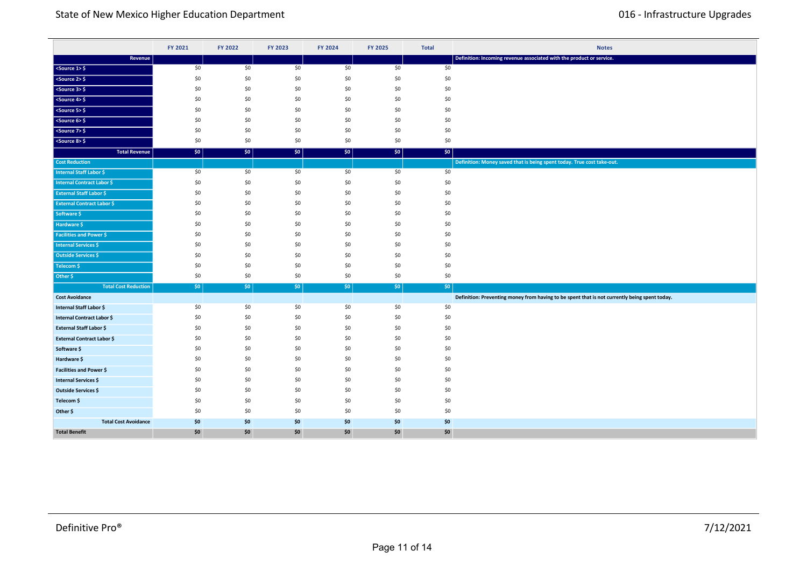|                                   | FY 2021 | FY 2022 | FY 2023 | FY 2024 | FY 2025 | <b>Total</b>     | <b>Notes</b>                                                                                  |
|-----------------------------------|---------|---------|---------|---------|---------|------------------|-----------------------------------------------------------------------------------------------|
| Revenue                           |         |         |         |         |         |                  | Definition: Incoming revenue associated with the product or service.                          |
| $<$ Source 1> $\frac{6}{7}$       | \$0     | \$0     | \$0     | \$0     | \$0     | \$0              |                                                                                               |
| $50$ cs 2> \$                     | \$0     | \$0     | \$0     | \$0     | \$0     | \$0              |                                                                                               |
| $<$ Source 3> $\frac{6}{5}$       | \$0     | \$0     | \$0     | \$0     | \$0     | \$0              |                                                                                               |
| $<$ Source 4> $\frac{6}{7}$       | \$0     | \$0     | \$0     | \$0     | \$0     | \$0              |                                                                                               |
| $<$ Source 5> $\frac{1}{2}$       | \$0     | \$0     | \$0     | \$0     | \$0     | \$0              |                                                                                               |
| $<$ Source 6> $\frac{6}{5}$       | \$0     | \$0     | \$0     | \$0     | \$0     | \$0              |                                                                                               |
| <source 7=""/> \$                 | \$0     | \$0     | \$0     | \$0     | \$0     | \$0              |                                                                                               |
| $<$ Source 8> $\frac{6}{5}$       | \$0     | \$0     | \$0     | \$0     | \$0     | \$0              |                                                                                               |
| <b>Total Revenue</b>              | \$0     | \$0     | \$0     | \$0\$   | \$0     | \$0              |                                                                                               |
| <b>Cost Reduction</b>             |         |         |         |         |         |                  | Definition: Money saved that is being spent today. True cost take-out.                        |
| <b>Internal Staff Labor \$</b>    | \$0     | \$0     | \$0     | \$0     | \$0     | \$0              |                                                                                               |
| <b>Internal Contract Labor \$</b> | \$0     | \$0     | \$0     | \$0     | \$0     | \$0              |                                                                                               |
| <b>External Staff Labor \$</b>    | \$0     | \$0     | \$0     | \$0     | \$0     | \$0              |                                                                                               |
| <b>External Contract Labor \$</b> | \$0     | \$0     | \$0     | \$0     | \$0     | \$0              |                                                                                               |
| Software \$                       | \$0     | \$0     | \$0     | \$0     | \$0     | \$0              |                                                                                               |
| Hardware \$                       | \$0     | \$0     | \$0     | \$0     | \$0     | \$0              |                                                                                               |
| <b>Facilities and Power \$</b>    | \$0     | \$0     | \$0     | \$0     | \$0     | \$0              |                                                                                               |
| <b>Internal Services \$</b>       | \$0     | \$0     | \$0     | \$0     | \$0     | \$0              |                                                                                               |
| <b>Outside Services \$</b>        | \$0     | \$0     | \$0     | \$0     | \$0     | \$0              |                                                                                               |
| Telecom \$                        | \$0     | \$0     | \$0     | \$0     | \$0     | \$0              |                                                                                               |
| Other \$                          | \$0     | \$0     | \$0     | \$0     | \$0     | \$0              |                                                                                               |
| <b>Total Cost Reduction</b>       | \$0     | $ $ \$0 | \$0     | \$0\$   | \$0     | \$0 <sub>1</sub> |                                                                                               |
| <b>Cost Avoidance</b>             |         |         |         |         |         |                  | Definition: Preventing money from having to be spent that is not currently being spent today. |
| Internal Staff Labor \$           | \$0     | \$0     | \$0     | \$0     | \$0     | \$0              |                                                                                               |
| Internal Contract Labor \$        | \$0     | \$0     | \$0     | \$0     | \$0     | \$0              |                                                                                               |
| <b>External Staff Labor \$</b>    | \$0     | \$0     | \$0     | \$0     | \$0     | \$0              |                                                                                               |
| <b>External Contract Labor \$</b> | \$0     | \$0     | \$0     | \$0     | \$0     | \$0              |                                                                                               |
| Software \$                       | \$0     | \$0     | \$0     | \$0     | \$0     | \$0              |                                                                                               |
| Hardware \$                       | \$0     | \$0     | \$0     | \$0     | \$0     | \$0              |                                                                                               |
| Facilities and Power \$           | \$0     | \$0     | \$0     | \$0     | \$0     | \$0              |                                                                                               |
| <b>Internal Services \$</b>       | \$0     | \$0     | \$0     | \$0     | \$0     | \$0              |                                                                                               |
| Outside Services \$               | \$0     | \$0     | \$0     | \$0     | \$0     | \$0              |                                                                                               |
| Telecom \$                        | \$0     | \$0     | \$0     | \$0     | \$0     | \$0              |                                                                                               |
| Other \$                          | \$0     | \$0     | \$0     | \$0     | \$0     | \$0              |                                                                                               |
| <b>Total Cost Avoidance</b>       | \$0     | \$0     | \$0     | \$0     | \$0     | \$0              |                                                                                               |
| <b>Total Benefit</b>              | \$0     | \$0     | \$0     | \$0     | \$0     | \$0              |                                                                                               |

**Total Cost Reduction** \$0 \$0 \$0 \$0 \$0 \$0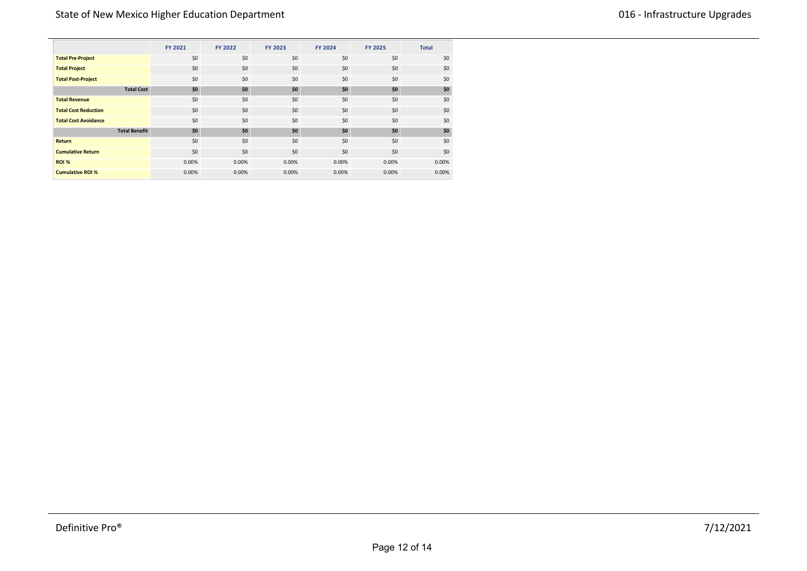|                             | FY 2021 | FY 2022 | FY 2023 | FY 2024 | <b>FY 2025</b> | <b>Total</b> |
|-----------------------------|---------|---------|---------|---------|----------------|--------------|
| <b>Total Pre-Project</b>    | \$0     | \$0     | \$0     | \$0     | \$0            | \$0          |
| <b>Total Project</b>        | \$0     | \$0     | \$0     | \$0     | \$0            | \$0          |
| <b>Total Post-Project</b>   | \$0     | \$0     | \$0     | \$0     | \$0            | \$0          |
| <b>Total Cost</b>           | \$0     | \$0     | \$0     | \$0     | \$0            | \$0          |
| <b>Total Revenue</b>        | \$0     | \$0     | \$0     | \$0     | \$0            | \$0          |
| <b>Total Cost Reduction</b> | \$0     | \$0     | \$0     | \$0     | \$0            | \$0          |
| <b>Total Cost Avoidance</b> | \$0     | \$0     | \$0     | \$0     | \$0            | \$0          |
| <b>Total Benefit</b>        | \$0     | \$0     | \$0     | \$0     | \$0            | \$0          |
| <b>Return</b>               | \$0     | \$0     | \$0     | \$0     | \$0            | \$0          |
| <b>Cumulative Return</b>    | \$0     | \$0     | \$0     | \$0     | \$0            | \$0          |
| <b>ROI %</b>                | 0.00%   | 0.00%   | 0.00%   | 0.00%   | 0.00%          | 0.00%        |
| <b>Cumulative ROI %</b>     | 0.00%   | 0.00%   | 0.00%   | 0.00%   | 0.00%          | 0.00%        |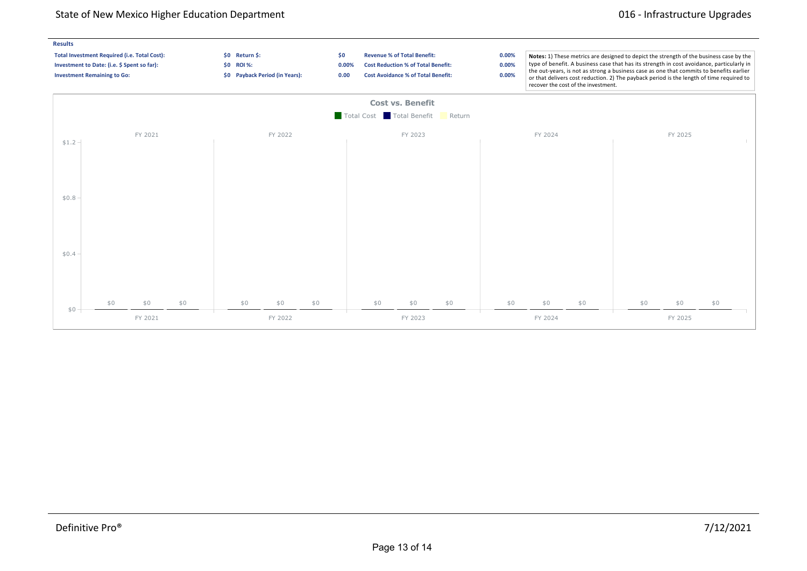# State of New Mexico Higher Education Department **016** and 016 - Infrastructure Upgrades